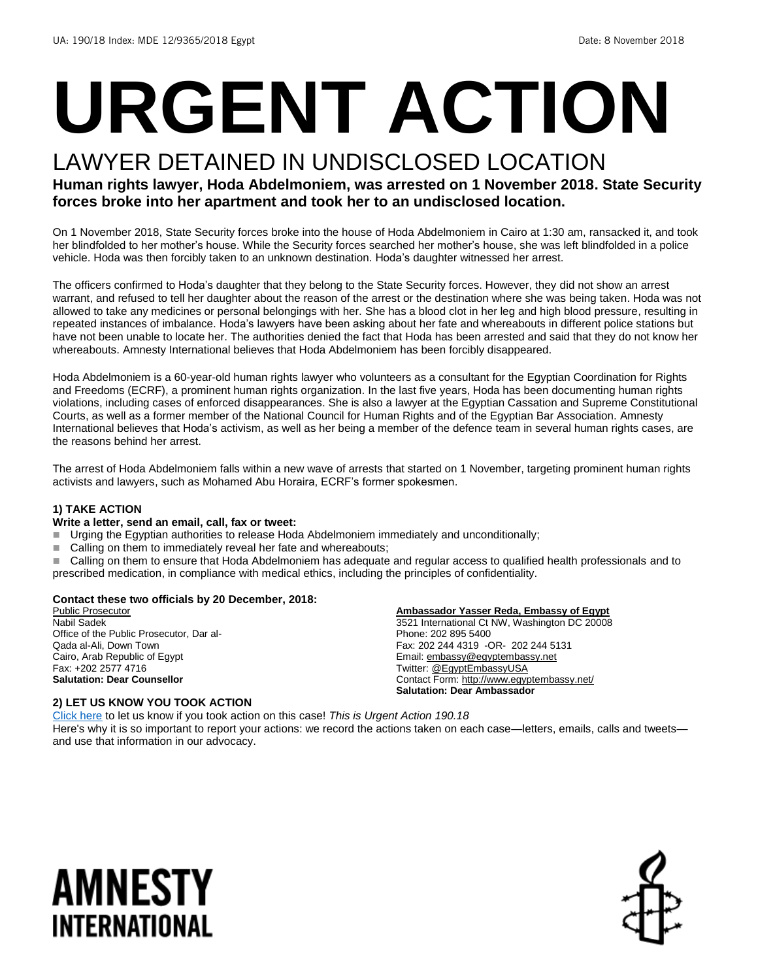# **URGENT ACTION**

### LAWYER DETAINED IN UNDISCLOSED LOCATION

#### **Human rights lawyer, Hoda Abdelmoniem, was arrested on 1 November 2018. State Security forces broke into her apartment and took her to an undisclosed location.**

On 1 November 2018, State Security forces broke into the house of Hoda Abdelmoniem in Cairo at 1:30 am, ransacked it, and took her blindfolded to her mother's house. While the Security forces searched her mother's house, she was left blindfolded in a police vehicle. Hoda was then forcibly taken to an unknown destination. Hoda's daughter witnessed her arrest.

The officers confirmed to Hoda's daughter that they belong to the State Security forces. However, they did not show an arrest warrant, and refused to tell her daughter about the reason of the arrest or the destination where she was being taken. Hoda was not allowed to take any medicines or personal belongings with her. She has a blood clot in her leg and high blood pressure, resulting in repeated instances of imbalance. Hoda's lawyers have been asking about her fate and whereabouts in different police stations but have not been unable to locate her. The authorities denied the fact that Hoda has been arrested and said that they do not know her whereabouts. Amnesty International believes that Hoda Abdelmoniem has been forcibly disappeared.

Hoda Abdelmoniem is a 60-year-old human rights lawyer who volunteers as a consultant for the Egyptian Coordination for Rights and Freedoms (ECRF), a prominent human rights organization. In the last five years, Hoda has been documenting human rights violations, including cases of enforced disappearances. She is also a lawyer at the Egyptian Cassation and Supreme Constitutional Courts, as well as a former member of the National Council for Human Rights and of the Egyptian Bar Association. Amnesty International believes that Hoda's activism, as well as her being a member of the defence team in several human rights cases, are the reasons behind her arrest.

The arrest of Hoda Abdelmoniem falls within a new wave of arrests that started on 1 November, targeting prominent human rights activists and lawyers, such as Mohamed Abu Horaira, ECRF's former spokesmen.

#### **1) TAKE ACTION**

#### **Write a letter, send an email, call, fax or tweet:**

- Urging the Egyptian authorities to release Hoda Abdelmoniem immediately and unconditionally;
- Calling on them to immediately reveal her fate and whereabouts;
- Calling on them to ensure that Hoda Abdelmoniem has adequate and regular access to qualified health professionals and to prescribed medication, in compliance with medical ethics, including the principles of confidentiality.

#### **Contact these two officials by 20 December, 2018:**

Public Prosecutor Nabil Sadek Office of the Public Prosecutor, Dar al-Qada al-Ali, Down Town Cairo, Arab Republic of Egypt Fax: +202 2577 4716 **Salutation: Dear Counsellor**

#### **Ambassador Yasser Reda, Embassy of Egypt**

3521 International Ct NW, Washington DC 20008 Phone: 202 895 5400 Fax: 202 244 4319 -OR- 202 244 5131 Email[: embassy@egyptembassy.net](mailto:embassy@egyptembassy.net) Twitter[: @EgyptEmbassyUSA](https://twitter.com/EgyptEmbassyUSA?ref_src=twsrc%5Egoogle%7Ctwcamp%5Eserp%7Ctwgr%5Eauthor) Contact Form:<http://www.egyptembassy.net/> **Salutation: Dear Ambassador**

#### **2) LET US KNOW YOU TOOK ACTION**

[Click here](https://www.amnestyusa.org/report-urgent-actions/) to let us know if you took action on this case! *This is Urgent Action 190.18* Here's why it is so important to report your actions: we record the actions taken on each case—letters, emails, calls and tweets and use that information in our advocacy.

# AMNESTY INTERNATIONAL